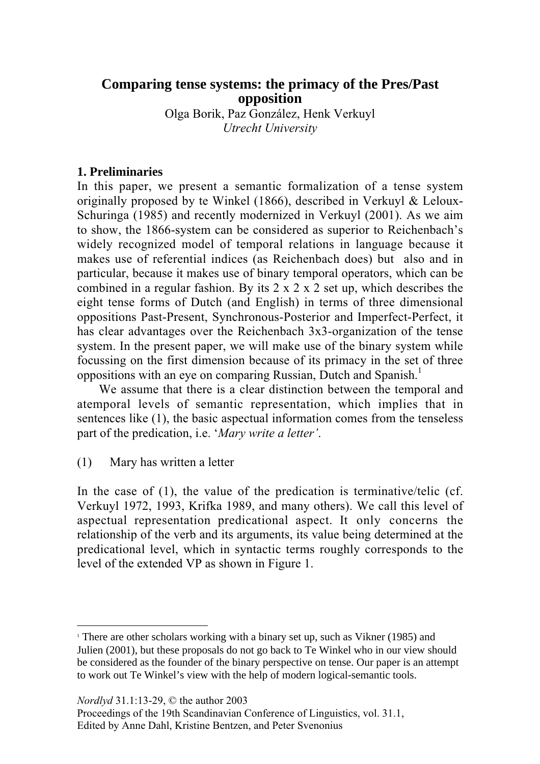# **Comparing tense systems: the primacy of the Pres/Past opposition**

Olga Borik, Paz González, Henk Verkuyl *Utrecht University*

### **1. Preliminaries**

In this paper, we present a semantic formalization of a tense system originally proposed by te Winkel (1866), described in Verkuyl & Leloux-Schuringa (1985) and recently modernized in Verkuyl (2001). As we aim to show, the 1866-system can be considered as superior to Reichenbach's widely recognized model of temporal relations in language because it makes use of referential indices (as Reichenbach does) but also and in particular, because it makes use of binary temporal operators, which can be combined in a regular fashion. By its  $2 \times 2 \times 2 \times 2$  set up, which describes the eight tense forms of Dutch (and English) in terms of three dimensional oppositions Past-Present, Synchronous-Posterior and Imperfect-Perfect, it has clear advantages over the Reichenbach 3x3-organization of the tense system. In the present paper, we will make use of the binary system while focussing on the first dimension because of its primacy in the set of three oppositions with an eye on comparing Russian, Dutch and Spanish.<sup>1</sup>

We assume that there is a clear distinction between the temporal and atemporal levels of semantic representation, which implies that in sentences like (1), the basic aspectual information comes from the tenseless part of the predication, i.e. '*Mary write a letter'*.

(1) Mary has written a letter

In the case of (1), the value of the predication is terminative/telic (cf. Verkuyl 1972, 1993, Krifka 1989, and many others). We call this level of aspectual representation predicational aspect. It only concerns the relationship of the verb and its arguments, its value being determined at the predicational level, which in syntactic terms roughly corresponds to the level of the extended VP as shown in Figure 1.

*Nordlyd* 31.1:13-29, © the author 2003

 $\overline{a}$ 

<sup>&</sup>lt;sup>1</sup> There are other scholars working with a binary set up, such as Vikner (1985) and Julien (2001), but these proposals do not go back to Te Winkel who in our view should be considered as the founder of the binary perspective on tense. Our paper is an attempt to work out Te Winkel's view with the help of modern logical-semantic tools.

Proceedings of the 19th Scandinavian Conference of Linguistics, vol. 31.1, Edited by Anne Dahl, Kristine Bentzen, and Peter Svenonius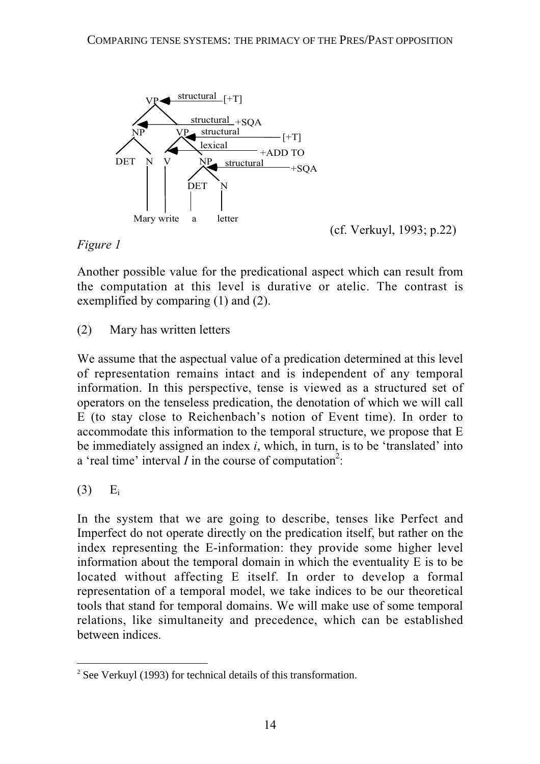

(cf. Verkuyl, 1993; p.22)

*Figure 1*

Another possible value for the predicational aspect which can result from the computation at this level is durative or atelic. The contrast is exemplified by comparing (1) and (2).

# (2) Mary has written letters

We assume that the aspectual value of a predication determined at this level of representation remains intact and is independent of any temporal information. In this perspective, tense is viewed as a structured set of operators on the tenseless predication, the denotation of which we will call E (to stay close to Reichenbach's notion of Event time). In order to accommodate this information to the temporal structure, we propose that E be immediately assigned an index *i*, which, in turn, is to be 'translated' into a 'real time' interval  $I$  in the course of computation<sup>2</sup>:

# $(3)$  E<sub>i</sub>

In the system that we are going to describe, tenses like Perfect and Imperfect do not operate directly on the predication itself, but rather on the index representing the E-information: they provide some higher level information about the temporal domain in which the eventuality E is to be located without affecting E itself. In order to develop a formal representation of a temporal model, we take indices to be our theoretical tools that stand for temporal domains. We will make use of some temporal relations, like simultaneity and precedence, which can be established between indices.

<sup>&</sup>lt;sup>2</sup> See Verkuyl (1993) for technical details of this transformation.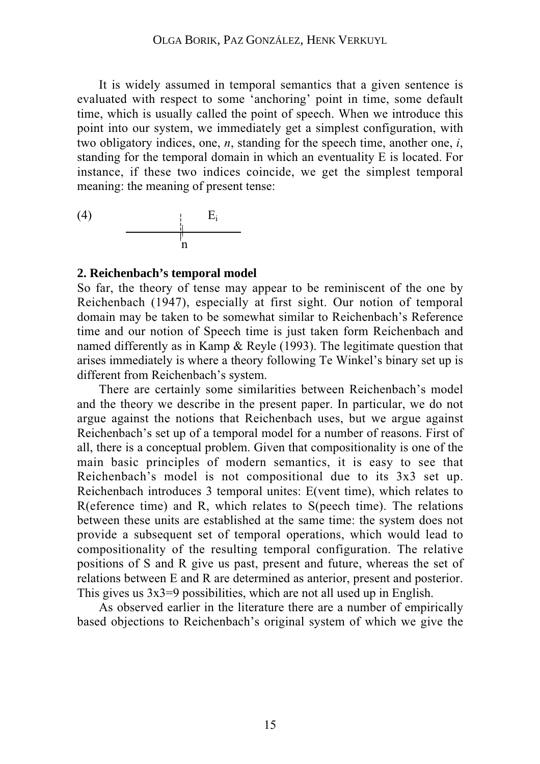It is widely assumed in temporal semantics that a given sentence is evaluated with respect to some 'anchoring' point in time, some default time, which is usually called the point of speech. When we introduce this point into our system, we immediately get a simplest configuration, with two obligatory indices, one, *n*, standing for the speech time, another one, *i*, standing for the temporal domain in which an eventuality E is located. For instance, if these two indices coincide, we get the simplest temporal meaning: the meaning of present tense:

$$
\begin{array}{c|c}\n\text{(4)} & \multicolumn{3}{|c|}{E_i} \\
\hline\n & n\n\end{array}
$$

### **2. Reichenbach's temporal model**

So far, the theory of tense may appear to be reminiscent of the one by Reichenbach (1947), especially at first sight. Our notion of temporal domain may be taken to be somewhat similar to Reichenbach's Reference time and our notion of Speech time is just taken form Reichenbach and named differently as in Kamp & Reyle (1993). The legitimate question that arises immediately is where a theory following Te Winkel's binary set up is different from Reichenbach's system.

There are certainly some similarities between Reichenbach's model and the theory we describe in the present paper. In particular, we do not argue against the notions that Reichenbach uses, but we argue against Reichenbach's set up of a temporal model for a number of reasons. First of all, there is a conceptual problem. Given that compositionality is one of the main basic principles of modern semantics, it is easy to see that Reichenbach's model is not compositional due to its 3x3 set up. Reichenbach introduces 3 temporal unites: E(vent time), which relates to R(eference time) and R, which relates to S(peech time). The relations between these units are established at the same time: the system does not provide a subsequent set of temporal operations, which would lead to compositionality of the resulting temporal configuration. The relative positions of S and R give us past, present and future, whereas the set of relations between E and R are determined as anterior, present and posterior. This gives us  $3x3=9$  possibilities, which are not all used up in English.

As observed earlier in the literature there are a number of empirically based objections to Reichenbach's original system of which we give the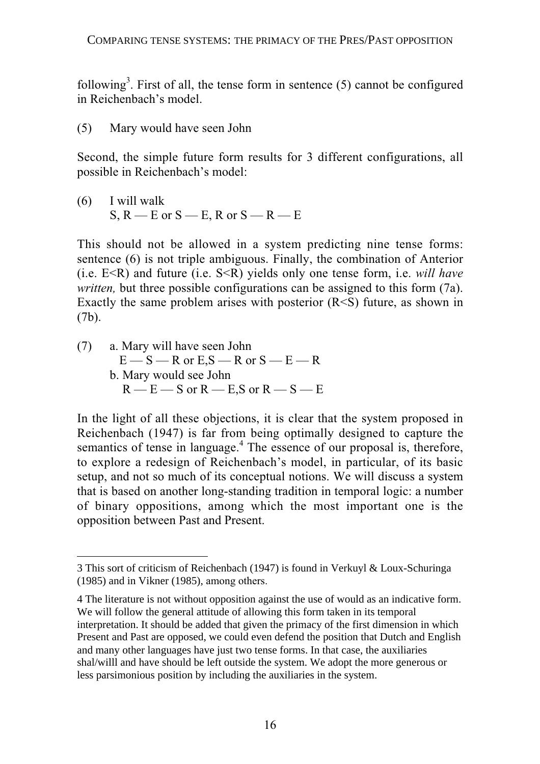following<sup>3</sup>. First of all, the tense form in sentence  $(5)$  cannot be configured in Reichenbach's model.

(5) Mary would have seen John

Second, the simple future form results for 3 different configurations, all possible in Reichenbach's model:

(6) I will walk  $S, R$  — E or  $S$  — E, R or  $S$  — R — E

This should not be allowed in a system predicting nine tense forms: sentence (6) is not triple ambiguous. Finally, the combination of Anterior (i.e. E<R) and future (i.e. S<R) yields only one tense form, i.e. *will have written,* but three possible configurations can be assigned to this form (7a). Exactly the same problem arises with posterior  $(R \le S)$  future, as shown in (7b).

(7) a. Mary will have seen John  $E - S - R$  or  $E.S - R$  or  $S - E - R$ b. Mary would see John  $R - E - S$  or  $R - E$ ,  $S$  or  $R - S - E$ 

 $\overline{a}$ 

In the light of all these objections, it is clear that the system proposed in Reichenbach (1947) is far from being optimally designed to capture the semantics of tense in language.<sup>4</sup> The essence of our proposal is, therefore, to explore a redesign of Reichenbach's model, in particular, of its basic setup, and not so much of its conceptual notions. We will discuss a system that is based on another long-standing tradition in temporal logic: a number of binary oppositions, among which the most important one is the opposition between Past and Present.

<sup>3</sup> This sort of criticism of Reichenbach (1947) is found in Verkuyl & Loux-Schuringa (1985) and in Vikner (1985), among others.

<sup>4</sup> The literature is not without opposition against the use of would as an indicative form. We will follow the general attitude of allowing this form taken in its temporal interpretation. It should be added that given the primacy of the first dimension in which Present and Past are opposed, we could even defend the position that Dutch and English and many other languages have just two tense forms. In that case, the auxiliaries shal/willl and have should be left outside the system. We adopt the more generous or less parsimonious position by including the auxiliaries in the system.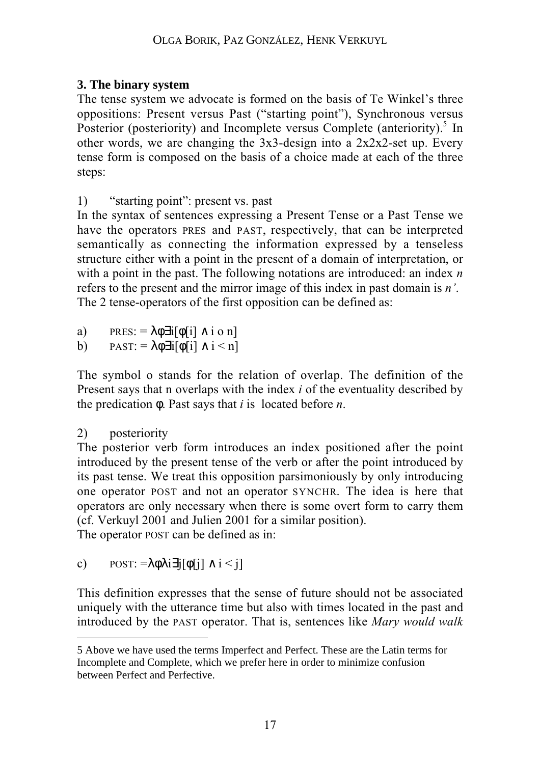# **3. The binary system**

The tense system we advocate is formed on the basis of Te Winkel's three oppositions: Present versus Past ("starting point"), Synchronous versus Posterior (posteriority) and Incomplete versus Complete (anteriority). $5 \text{ In}$ other words, we are changing the 3x3-design into a 2x2x2-set up. Every tense form is composed on the basis of a choice made at each of the three steps:

1) "starting point": present vs. past

In the syntax of sentences expressing a Present Tense or a Past Tense we have the operators PRES and PAST, respectively, that can be interpreted semantically as connecting the information expressed by a tenseless structure either with a point in the present of a domain of interpretation, or with a point in the past. The following notations are introduced: an index *n* refers to the present and the mirror image of this index in past domain is *n'*. The 2 tense-operators of the first opposition can be defined as:

a) PRES:  $=\lambda \phi \exists i[\phi[i] \wedge i \phi n]$ 

b)  $PAST: = \lambda \phi \exists i [\phi[i] \wedge i \leq n]$ 

The symbol o stands for the relation of overlap. The definition of the Present says that n overlaps with the index *i* of the eventuality described by the predication φ. Past says that *i* is located before *n*.

# 2) posteriority

 $\overline{a}$ 

The posterior verb form introduces an index positioned after the point introduced by the present tense of the verb or after the point introduced by its past tense. We treat this opposition parsimoniously by only introducing one operator POST and not an operator SYNCHR. The idea is here that operators are only necessary when there is some overt form to carry them (cf. Verkuyl 2001 and Julien 2001 for a similar position).

The operator POST can be defined as in:

c) POST:  $=\lambda \phi \lambda i \exists j [\phi[i] \wedge i \leq j]$ 

This definition expresses that the sense of future should not be associated uniquely with the utterance time but also with times located in the past and introduced by the PAST operator. That is, sentences like *Mary would walk*

<sup>5</sup> Above we have used the terms Imperfect and Perfect. These are the Latin terms for Incomplete and Complete, which we prefer here in order to minimize confusion between Perfect and Perfective.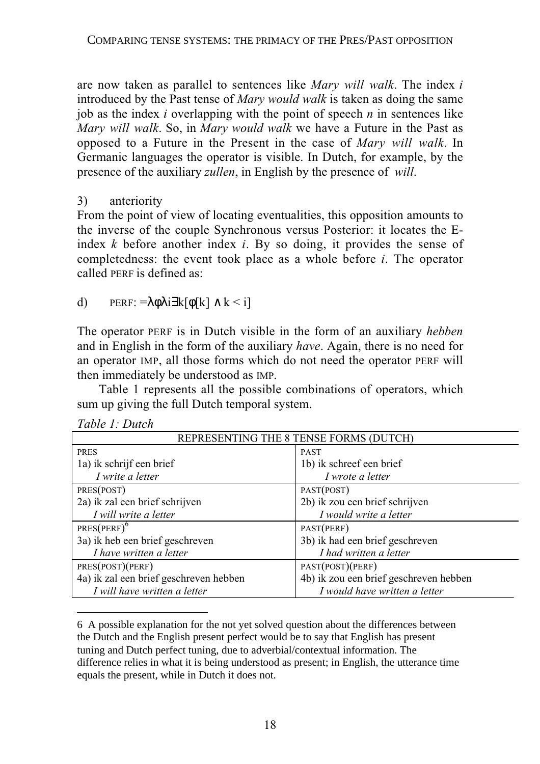are now taken as parallel to sentences like *Mary will walk*. The index *i* introduced by the Past tense of *Mary would walk* is taken as doing the same job as the index *i* overlapping with the point of speech *n* in sentences like *Mary will walk*. So, in *Mary would walk* we have a Future in the Past as opposed to a Future in the Present in the case of *Mary will walk*. In Germanic languages the operator is visible. In Dutch, for example, by the presence of the auxiliary *zullen*, in English by the presence of *will*.

## 3) anteriority

From the point of view of locating eventualities, this opposition amounts to the inverse of the couple Synchronous versus Posterior: it locates the Eindex *k* before another index *i*. By so doing, it provides the sense of completedness: the event took place as a whole before *i*. The operator called PERF is defined as:

# d) PERF:  $=$ λφλi∃k[φ[k] ∧ k < i]

The operator PERF is in Dutch visible in the form of an auxiliary *hebben* and in English in the form of the auxiliary *have*. Again, there is no need for an operator IMP, all those forms which do not need the operator PERF will then immediately be understood as IMP.

Table 1 represents all the possible combinations of operators, which sum up giving the full Dutch temporal system.

| REPRESENTING THE 8 TENSE FORMS (DUTCH) |                                        |  |
|----------------------------------------|----------------------------------------|--|
| <b>PRES</b>                            | <b>PAST</b>                            |  |
| 1a) ik schrijf een brief               | 1b) ik schreef een brief               |  |
| I write a letter                       | I wrote a letter                       |  |
| PRES(POST)                             | PAST(POST)                             |  |
| 2a) ik zal een brief schrijven         | 2b) ik zou een brief schrijven         |  |
| I will write a letter                  | I would write a letter                 |  |
| $PRES(PERF)^6$                         | PAST(PERF)                             |  |
| 3a) ik heb een brief geschreven        | 3b) ik had een brief geschreven        |  |
| I have written a letter                | I had written a letter                 |  |
| PRES(POST)(PERF)                       | PAST(POST)(PERF)                       |  |
| 4a) ik zal een brief geschreven hebben | 4b) ik zou een brief geschreven hebben |  |
| I will have written a letter           | I would have written a letter          |  |

*Table 1: Dutch*

 $\overline{a}$ 

6 A possible explanation for the not yet solved question about the differences between the Dutch and the English present perfect would be to say that English has present tuning and Dutch perfect tuning, due to adverbial/contextual information. The difference relies in what it is being understood as present; in English, the utterance time equals the present, while in Dutch it does not.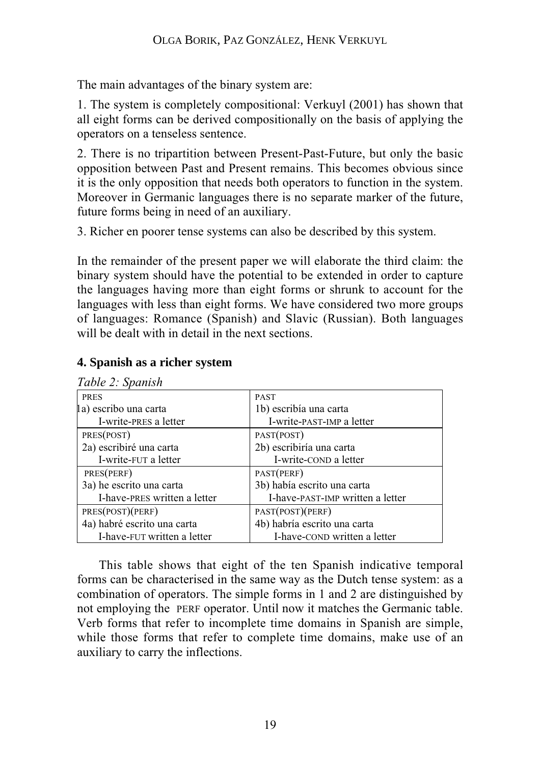The main advantages of the binary system are:

1. The system is completely compositional: Verkuyl (2001) has shown that all eight forms can be derived compositionally on the basis of applying the operators on a tenseless sentence.

2. There is no tripartition between Present-Past-Future, but only the basic opposition between Past and Present remains. This becomes obvious since it is the only opposition that needs both operators to function in the system. Moreover in Germanic languages there is no separate marker of the future, future forms being in need of an auxiliary.

3. Richer en poorer tense systems can also be described by this system.

In the remainder of the present paper we will elaborate the third claim: the binary system should have the potential to be extended in order to capture the languages having more than eight forms or shrunk to account for the languages with less than eight forms. We have considered two more groups of languages: Romance (Spanish) and Slavic (Russian). Both languages will be dealt with in detail in the next sections.

| Table 2: Spanish             |                                  |
|------------------------------|----------------------------------|
| <b>PRES</b>                  | <b>PAST</b>                      |
| la) escribo una carta        | 1b) escribía una carta           |
| I-write-PRES a letter        | I-write-PAST-IMP a letter        |
| PRES(POST)                   | PAST(POST)                       |
| 2a) escribiré una carta      | 2b) escribiría una carta         |
| I-write-FUT a letter         | I-write-conp a letter            |
| PRES(PERF)                   | PAST(PERF)                       |
| 3a) he escrito una carta     | 3b) había escrito una carta      |
| I-have-PRES written a letter | I-have-PAST-IMP written a letter |
| PRES(POST)(PERF)             | PAST(POST)(PERF)                 |
| 4a) habré escrito una carta  | 4b) habría escrito una carta     |
| I-have-FUT written a letter  | I-have-COND written a letter     |

### **4. Spanish as a richer system**

This table shows that eight of the ten Spanish indicative temporal forms can be characterised in the same way as the Dutch tense system: as a combination of operators. The simple forms in 1 and 2 are distinguished by not employing the PERF operator. Until now it matches the Germanic table. Verb forms that refer to incomplete time domains in Spanish are simple, while those forms that refer to complete time domains, make use of an auxiliary to carry the inflections.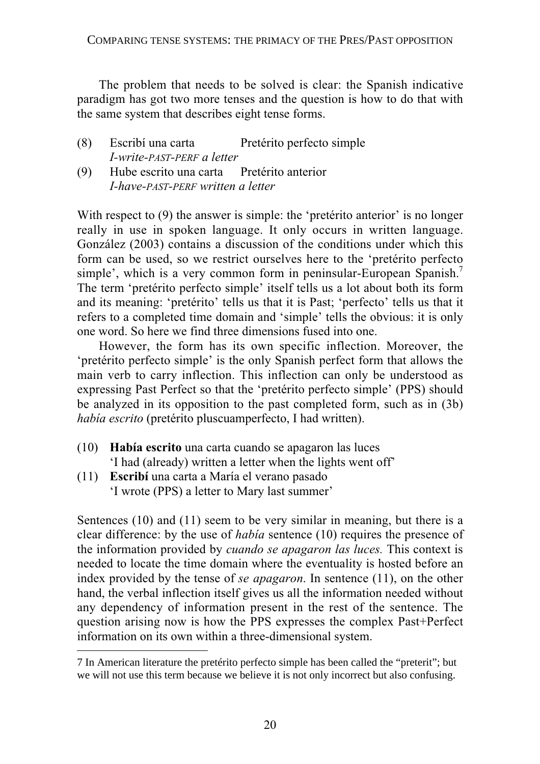The problem that needs to be solved is clear: the Spanish indicative paradigm has got two more tenses and the question is how to do that with the same system that describes eight tense forms.

- (8) Escribí una carta Pretérito perfecto simple *I-write-PAST-PERF a letter*
- (9) Hube escrito una carta Pretérito anterior *I-have-PAST-PERF written a letter*

With respect to (9) the answer is simple: the 'pretérito anterior' is no longer really in use in spoken language. It only occurs in written language. González (2003) contains a discussion of the conditions under which this form can be used, so we restrict ourselves here to the 'pretérito perfecto simple', which is a very common form in peninsular-European Spanish.<sup>7</sup> The term 'pretérito perfecto simple' itself tells us a lot about both its form and its meaning: 'pretérito' tells us that it is Past; 'perfecto' tells us that it refers to a completed time domain and 'simple' tells the obvious: it is only one word. So here we find three dimensions fused into one.

However, the form has its own specific inflection. Moreover, the 'pretérito perfecto simple' is the only Spanish perfect form that allows the main verb to carry inflection. This inflection can only be understood as expressing Past Perfect so that the 'pretérito perfecto simple' (PPS) should be analyzed in its opposition to the past completed form, such as in (3b) *había escrito* (pretérito pluscuamperfecto, I had written).

- (10) **Había escrito** una carta cuando se apagaron las luces 'I had (already) written a letter when the lights went off'
- (11) **Escribí** una carta a María el verano pasado 'I wrote (PPS) a letter to Mary last summer'

 $\overline{a}$ 

Sentences (10) and (11) seem to be very similar in meaning, but there is a clear difference: by the use of *había* sentence (10) requires the presence of the information provided by *cuando se apagaron las luces.* This context is needed to locate the time domain where the eventuality is hosted before an index provided by the tense of *se apagaron*. In sentence (11), on the other hand, the verbal inflection itself gives us all the information needed without any dependency of information present in the rest of the sentence. The question arising now is how the PPS expresses the complex Past+Perfect information on its own within a three-dimensional system.

<sup>7</sup> In American literature the pretérito perfecto simple has been called the "preterit"; but we will not use this term because we believe it is not only incorrect but also confusing.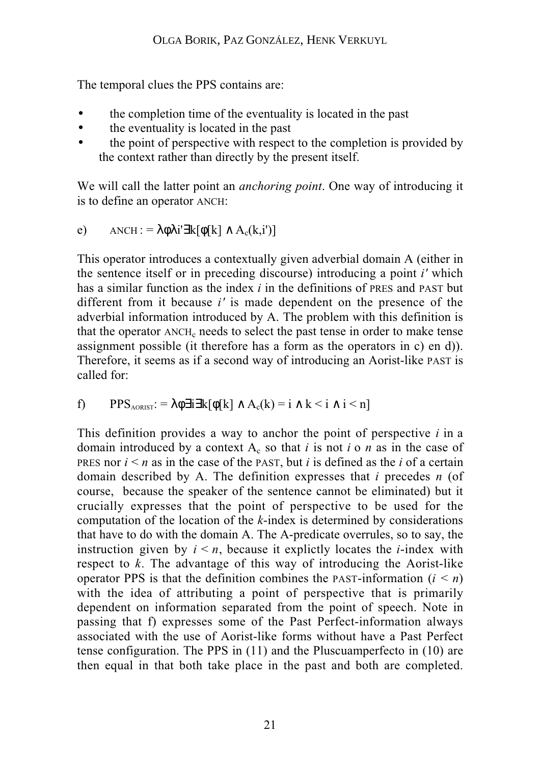The temporal clues the PPS contains are:

- the completion time of the eventuality is located in the past
- the eventuality is located in the past
- the point of perspective with respect to the completion is provided by the context rather than directly by the present itself.

We will call the latter point an *anchoring point*. One way of introducing it is to define an operator ANCH:

e) ANCH: = 
$$
\lambda \phi \lambda i' \exists k [\phi[k] \wedge A_c(k,i')]
$$

This operator introduces a contextually given adverbial domain A (either in the sentence itself or in preceding discourse) introducing a point *i'* which has a similar function as the index *i* in the definitions of PRES and PAST but different from it because *i'* is made dependent on the presence of the adverbial information introduced by A. The problem with this definition is that the operator  $ANCH_c$  needs to select the past tense in order to make tense assignment possible (it therefore has a form as the operators in c) en d)). Therefore, it seems as if a second way of introducing an Aorist-like PAST is called for:

f) 
$$
PPS_{AORIST} := \lambda \phi \exists i \exists k [\phi[k] \land A_c(k) = i \land k < i \land i < n]
$$

This definition provides a way to anchor the point of perspective *i* in a domain introduced by a context  $A_c$  so that *i* is not *i* o *n* as in the case of PRES nor  $i \le n$  as in the case of the PAST, but *i* is defined as the *i* of a certain domain described by A. The definition expresses that *i* precedes *n* (of course, because the speaker of the sentence cannot be eliminated) but it crucially expresses that the point of perspective to be used for the computation of the location of the *k*-index is determined by considerations that have to do with the domain A. The A-predicate overrules, so to say, the instruction given by  $i \leq n$ , because it explictly locates the *i*-index with respect to *k*. The advantage of this way of introducing the Aorist-like operator PPS is that the definition combines the PAST-information  $(i \le n)$ with the idea of attributing a point of perspective that is primarily dependent on information separated from the point of speech. Note in passing that f) expresses some of the Past Perfect-information always associated with the use of Aorist-like forms without have a Past Perfect tense configuration. The PPS in (11) and the Pluscuamperfecto in (10) are then equal in that both take place in the past and both are completed.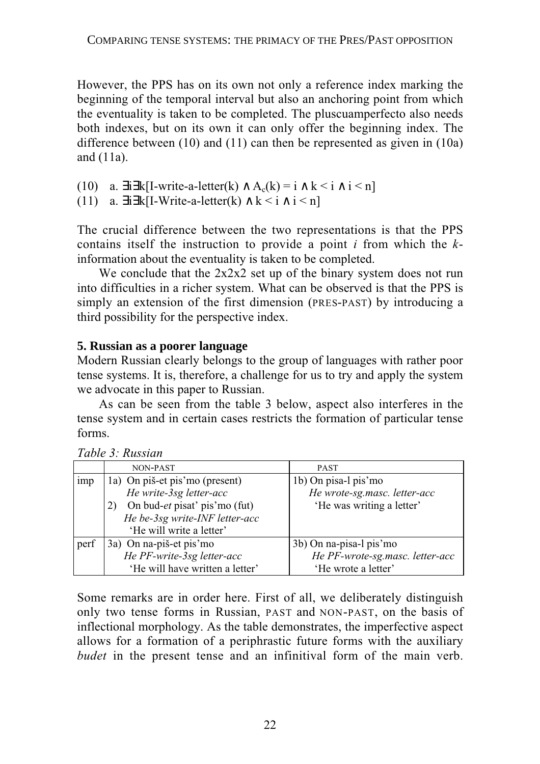However, the PPS has on its own not only a reference index marking the beginning of the temporal interval but also an anchoring point from which the eventuality is taken to be completed. The pluscuamperfecto also needs both indexes, but on its own it can only offer the beginning index. The difference between (10) and (11) can then be represented as given in (10a) and (11a).

(10) a.  $\exists i \exists k [I\text{-write-a-letter}(k) \land A_c(k) = i \land k \le i \land i \le n]$ 

(11) a.  $\exists i \exists k$ [I-Write-a-letter(k) ∧ k < i ∧ i < n]

The crucial difference between the two representations is that the PPS contains itself the instruction to provide a point *i* from which the *k*information about the eventuality is taken to be completed.

We conclude that the 2x2x2 set up of the binary system does not run into difficulties in a richer system. What can be observed is that the PPS is simply an extension of the first dimension (PRES-PAST) by introducing a third possibility for the perspective index.

# **5. Russian as a poorer language**

Modern Russian clearly belongs to the group of languages with rather poor tense systems. It is, therefore, a challenge for us to try and apply the system we advocate in this paper to Russian.

As can be seen from the table 3 below, aspect also interferes in the tense system and in certain cases restricts the formation of particular tense forms.

|                 | NON-PAST                            | <b>PAST</b>                     |
|-----------------|-------------------------------------|---------------------------------|
| 1 <sub>mp</sub> | 1a) On piš-et pis'mo (present)      | 1b) On pisa-1 pis'mo            |
|                 | He write-3sg letter-acc             | He wrote-sg.masc. letter-acc    |
|                 | On bud-et pisat' pis'mo (fut)<br>2) | 'He was writing a letter'       |
|                 | He be-3sg write-INF letter-acc      |                                 |
|                 | 'He will write a letter'            |                                 |
| perf            | 3a) On na-piš-et pis'mo             | 3b) On na-pisa-l pis'mo         |
|                 | He PF-write-3sg letter-acc          | He PF-wrote-sg.masc. letter-acc |
|                 | 'He will have written a letter'     | 'He wrote a letter'             |

*Table 3: Russian*

Some remarks are in order here. First of all, we deliberately distinguish only two tense forms in Russian, PAST and NON-PAST, on the basis of inflectional morphology. As the table demonstrates, the imperfective aspect allows for a formation of a periphrastic future forms with the auxiliary *budet* in the present tense and an infinitival form of the main verb.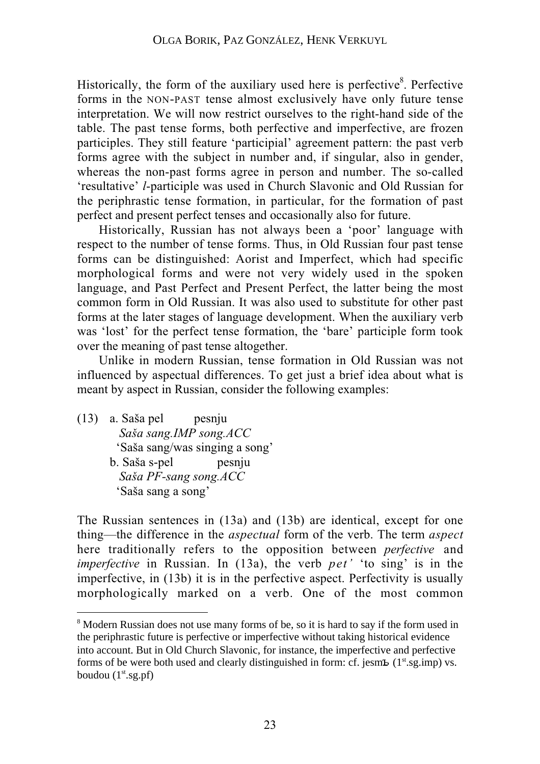Historically, the form of the auxiliary used here is perfective<sup>8</sup>. Perfective forms in the NON-PAST tense almost exclusively have only future tense interpretation. We will now restrict ourselves to the right-hand side of the table. The past tense forms, both perfective and imperfective, are frozen participles. They still feature 'participial' agreement pattern: the past verb forms agree with the subject in number and, if singular, also in gender, whereas the non-past forms agree in person and number. The so-called 'resultative' *l*-participle was used in Church Slavonic and Old Russian for the periphrastic tense formation, in particular, for the formation of past perfect and present perfect tenses and occasionally also for future.

Historically, Russian has not always been a 'poor' language with respect to the number of tense forms. Thus, in Old Russian four past tense forms can be distinguished: Aorist and Imperfect, which had specific morphological forms and were not very widely used in the spoken language, and Past Perfect and Present Perfect, the latter being the most common form in Old Russian. It was also used to substitute for other past forms at the later stages of language development. When the auxiliary verb was 'lost' for the perfect tense formation, the 'bare' participle form took over the meaning of past tense altogether.

Unlike in modern Russian, tense formation in Old Russian was not influenced by aspectual differences. To get just a brief idea about what is meant by aspect in Russian, consider the following examples:

(13) a. Saša pel pesnju  *Saša sang.IMP song.ACC* 'Saša sang/was singing a song' b. Saša s-pel pesnju  *Saša PF-sang song.ACC* 'Saša sang a song'

The Russian sentences in (13a) and (13b) are identical, except for one thing—the difference in the *aspectual* form of the verb. The term *aspect* here traditionally refers to the opposition between *perfective* and *imperfective* in Russian. In (13a), the verb *pet'* 'to sing' is in the imperfective, in (13b) it is in the perfective aspect. Perfectivity is usually morphologically marked on a verb. One of the most common

 $\overline{a}$ <sup>8</sup> Modern Russian does not use many forms of be, so it is hard to say if the form used in the periphrastic future is perfective or imperfective without taking historical evidence into account. But in Old Church Slavonic, for instance, the imperfective and perfective forms of be were both used and clearly distinguished in form: cf. jesm $\pm$  (1<sup>st</sup>.sg.imp) vs. boudou  $(1<sup>st</sup>.sg.pf)$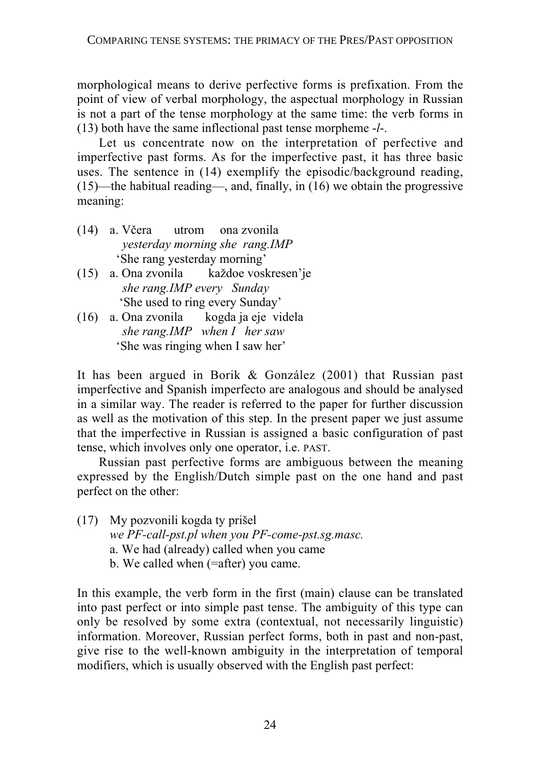morphological means to derive perfective forms is prefixation. From the point of view of verbal morphology, the aspectual morphology in Russian is not a part of the tense morphology at the same time: the verb forms in (13) both have the same inflectional past tense morpheme -*l*-.

Let us concentrate now on the interpretation of perfective and imperfective past forms. As for the imperfective past, it has three basic uses. The sentence in (14) exemplify the episodic/background reading, (15)—the habitual reading—, and, finally, in (16) we obtain the progressive meaning:

- (14) a. Včera utrom ona zvonila *yesterday morning she rang.IMP* 'She rang yesterday morning'
- (15) a. Ona zvonila každoe voskresen'je *she rang.IMP every Sunday* 'She used to ring every Sunday'
- (16) a. Ona zvonila kogda ja eje videla *she rang.IMP when I her saw* 'She was ringing when I saw her'

It has been argued in Borik & González (2001) that Russian past imperfective and Spanish imperfecto are analogous and should be analysed in a similar way. The reader is referred to the paper for further discussion as well as the motivation of this step. In the present paper we just assume that the imperfective in Russian is assigned a basic configuration of past tense, which involves only one operator, i.e. PAST.

Russian past perfective forms are ambiguous between the meaning expressed by the English/Dutch simple past on the one hand and past perfect on the other:

- (17) My pozvonili kogda ty prišel *we PF-call-pst.pl when you PF-come-pst.sg.masc.* a. We had (already) called when you came
	- b. We called when (=after) you came.

In this example, the verb form in the first (main) clause can be translated into past perfect or into simple past tense. The ambiguity of this type can only be resolved by some extra (contextual, not necessarily linguistic) information. Moreover, Russian perfect forms, both in past and non-past, give rise to the well-known ambiguity in the interpretation of temporal modifiers, which is usually observed with the English past perfect: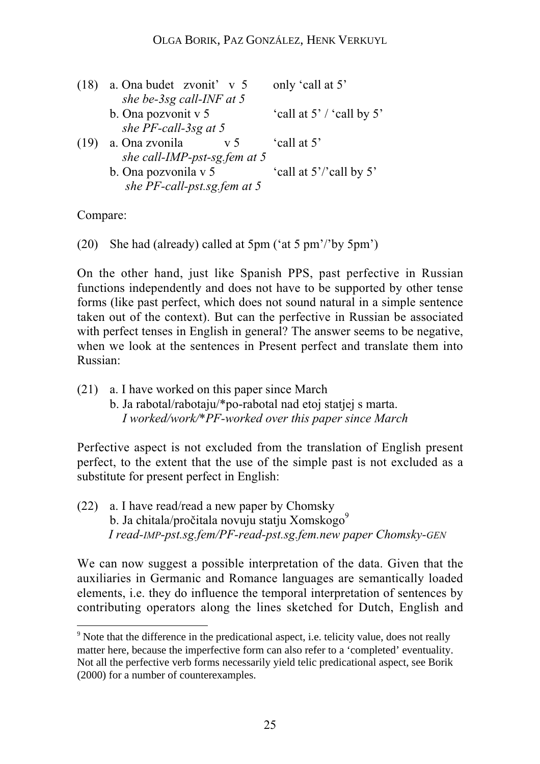| (18) | a. Ona budet zvoniť v 5          | only 'call at 5'              |
|------|----------------------------------|-------------------------------|
|      | she be-3sg call-INF at 5         |                               |
|      | b. Ona pozvonit v 5              | 'call at $5'$ / 'call by $5'$ |
|      | she PF-call-3sg at 5             |                               |
| (19) | a. Ona zvonila<br>V <sub>5</sub> | 'call at 5'                   |
|      | she call-IMP-pst-sg.fem at 5     |                               |
|      | b. Ona pozvonila v 5             | 'call at 5'/'call by 5'       |
|      | she PF-call-pst.sg.fem at 5      |                               |

Compare:

 $\overline{a}$ 

(20) She had (already) called at 5pm ('at 5 pm'/'by 5pm')

On the other hand, just like Spanish PPS, past perfective in Russian functions independently and does not have to be supported by other tense forms (like past perfect, which does not sound natural in a simple sentence taken out of the context). But can the perfective in Russian be associated with perfect tenses in English in general? The answer seems to be negative, when we look at the sentences in Present perfect and translate them into Russian:

(21) a. I have worked on this paper since March b. Ja rabotal/rabotaju/\*po-rabotal nad etoj statjej s marta.

 *I worked/work/\*PF-worked over this paper since March*

Perfective aspect is not excluded from the translation of English present perfect, to the extent that the use of the simple past is not excluded as a substitute for present perfect in English:

(22) a. I have read/read a new paper by Chomsky b. Ja chitala/pročitala novuju statju Xomskogo $^9$  *I read-IMP-pst.sg.fem/PF-read-pst.sg.fem.new paper Chomsky-GEN*

We can now suggest a possible interpretation of the data. Given that the auxiliaries in Germanic and Romance languages are semantically loaded elements, i.e. they do influence the temporal interpretation of sentences by contributing operators along the lines sketched for Dutch, English and

<sup>&</sup>lt;sup>9</sup> Note that the difference in the predicational aspect, i.e. telicity value, does not really matter here, because the imperfective form can also refer to a 'completed' eventuality. Not all the perfective verb forms necessarily yield telic predicational aspect, see Borik (2000) for a number of counterexamples.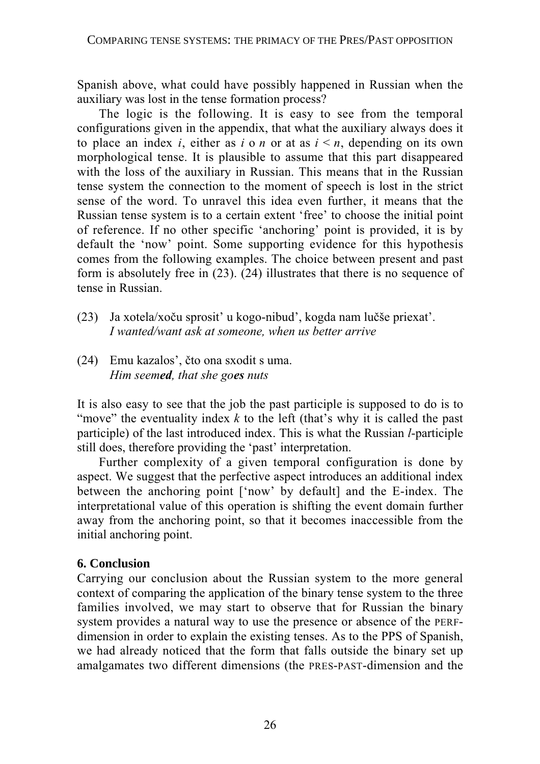Spanish above, what could have possibly happened in Russian when the auxiliary was lost in the tense formation process?

The logic is the following. It is easy to see from the temporal configurations given in the appendix, that what the auxiliary always does it to place an index *i*, either as *i* o *n* or at as  $i \leq n$ , depending on its own morphological tense. It is plausible to assume that this part disappeared with the loss of the auxiliary in Russian. This means that in the Russian tense system the connection to the moment of speech is lost in the strict sense of the word. To unravel this idea even further, it means that the Russian tense system is to a certain extent 'free' to choose the initial point of reference. If no other specific 'anchoring' point is provided, it is by default the 'now' point. Some supporting evidence for this hypothesis comes from the following examples. The choice between present and past form is absolutely free in (23). (24) illustrates that there is no sequence of tense in Russian.

- (23) Ja xotela/xoču sprosit' u kogo-nibud', kogda nam lučše priexat'. *I wanted/want ask at someone, when us better arrive*
- (24) Emu kazalos', čto ona sxodit s uma. *Him seemed, that she goes nuts*

It is also easy to see that the job the past participle is supposed to do is to "move" the eventuality index  $k$  to the left (that's why it is called the past participle) of the last introduced index. This is what the Russian *l*-participle still does, therefore providing the 'past' interpretation.

Further complexity of a given temporal configuration is done by aspect. We suggest that the perfective aspect introduces an additional index between the anchoring point ['now' by default] and the E-index. The interpretational value of this operation is shifting the event domain further away from the anchoring point, so that it becomes inaccessible from the initial anchoring point.

# **6. Conclusion**

Carrying our conclusion about the Russian system to the more general context of comparing the application of the binary tense system to the three families involved, we may start to observe that for Russian the binary system provides a natural way to use the presence or absence of the PERFdimension in order to explain the existing tenses. As to the PPS of Spanish, we had already noticed that the form that falls outside the binary set up amalgamates two different dimensions (the PRES-PAST-dimension and the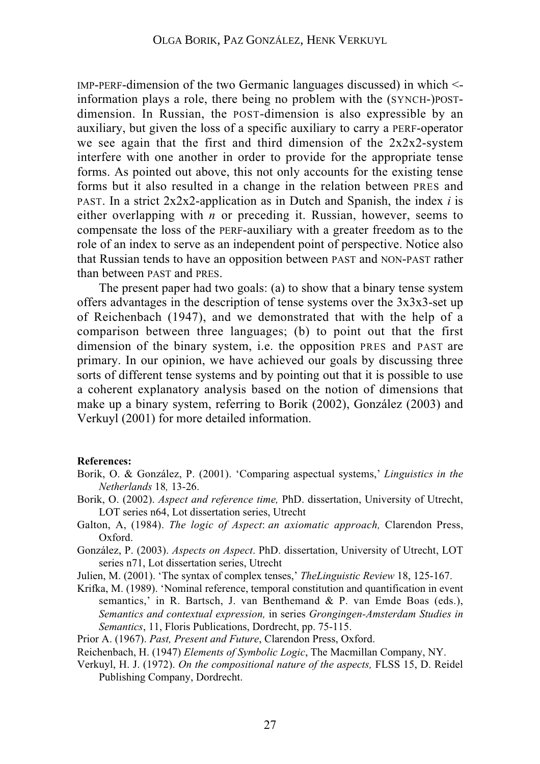IMP-PERF-dimension of the two Germanic languages discussed) in which < information plays a role, there being no problem with the (SYNCH-)POSTdimension. In Russian, the POST-dimension is also expressible by an auxiliary, but given the loss of a specific auxiliary to carry a PERF-operator we see again that the first and third dimension of the 2x2x2-system interfere with one another in order to provide for the appropriate tense forms. As pointed out above, this not only accounts for the existing tense forms but it also resulted in a change in the relation between PRES and PAST. In a strict 2x2x2-application as in Dutch and Spanish, the index *i* is either overlapping with  $n$  or preceding it. Russian, however, seems to compensate the loss of the PERF-auxiliary with a greater freedom as to the role of an index to serve as an independent point of perspective. Notice also that Russian tends to have an opposition between PAST and NON-PAST rather than between PAST and PRES.

The present paper had two goals: (a) to show that a binary tense system offers advantages in the description of tense systems over the 3x3x3-set up of Reichenbach (1947), and we demonstrated that with the help of a comparison between three languages; (b) to point out that the first dimension of the binary system, i.e. the opposition PRES and PAST are primary. In our opinion, we have achieved our goals by discussing three sorts of different tense systems and by pointing out that it is possible to use a coherent explanatory analysis based on the notion of dimensions that make up a binary system, referring to Borik (2002), González (2003) and Verkuyl (2001) for more detailed information.

#### **References:**

- Borik, O. & González, P. (2001). 'Comparing aspectual systems,' *Linguistics in the Netherlands* 18*,* 13-26.
- Borik, O. (2002). *Aspect and reference time,* PhD. dissertation, University of Utrecht, LOT series n64, Lot dissertation series, Utrecht
- Galton, A, (1984). *The logic of Aspect*: *an axiomatic approach,* Clarendon Press, Oxford.
- González, P. (2003). *Aspects on Aspect*. PhD. dissertation, University of Utrecht, LOT series n71, Lot dissertation series, Utrecht
- Julien, M. (2001). 'The syntax of complex tenses,' *TheLinguistic Review* 18, 125-167.
- Krifka, M. (1989). 'Nominal reference, temporal constitution and quantification in event semantics,' in R. Bartsch, J. van Benthemand & P. van Emde Boas (eds.), *Semantics and contextual expression,* in series *Grongingen-Amsterdam Studies in Semantics*, 11, Floris Publications, Dordrecht, pp. 75-115.
- Prior A. (1967). *Past, Present and Future*, Clarendon Press, Oxford.

Reichenbach, H. (1947) *Elements of Symbolic Logic*, The Macmillan Company, NY.

Verkuyl, H. J. (1972). *On the compositional nature of the aspects,* FLSS 15, D. Reidel Publishing Company, Dordrecht.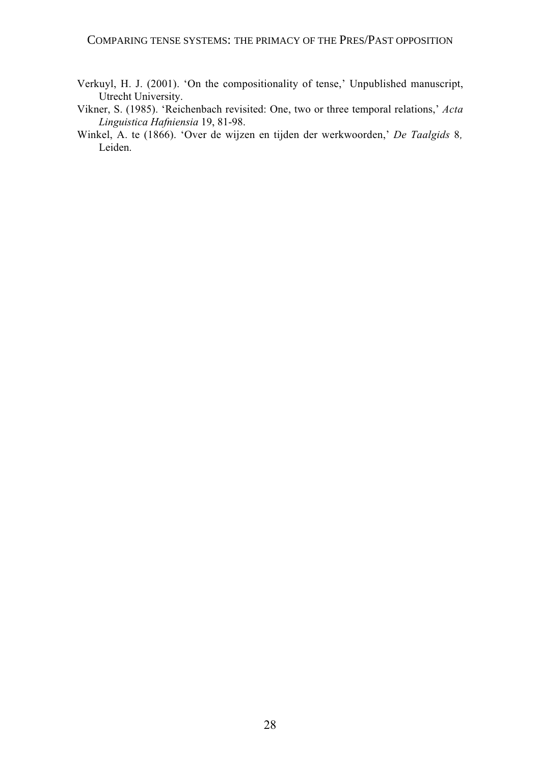#### COMPARING TENSE SYSTEMS: THE PRIMACY OF THE PRES/PAST OPPOSITION

- Verkuyl, H. J. (2001). 'On the compositionality of tense,' Unpublished manuscript, Utrecht University.
- Vikner, S. (1985). 'Reichenbach revisited: One, two or three temporal relations,' *Acta Linguistica Hafniensia* 19, 81-98.
- Winkel, A. te (1866). 'Over de wijzen en tijden der werkwoorden,' *De Taalgids* 8*,* Leiden.